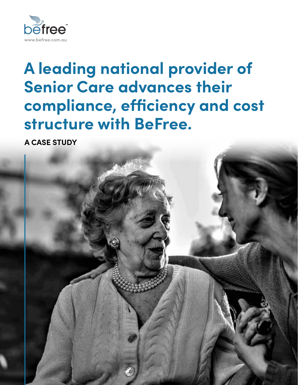

# **A leading national provider of Senior Care advances their compliance, efficiency and cost structure with BeFree.**

**A CASE STUDY**

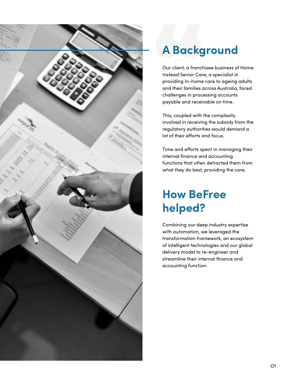

# **A Background**

A Backg<br>
Our client, a franch<br>
Instead Senior Car<br>
providing In-home<br>
and their families a<br>
challenges in proc Our client, a franchisee business of Home Instead Senior Care, a specialist in providing In-home care to ageing adults and their families across Australia, faced challenges in processing accounts payable and receivable on time.

This, coupled with the complexity involved in receiving the subsidy from the regulatory authorities would demand a lot of their efforts and focus.

Time and efforts spent in managing their internal finance and accounting functions that often detracted them from what they do best, providing the care.

# **How BeFree helped?**

Combining our deep industry expertise with automation, we leveraged the transformation framework, an ecosystem of intelligent technologies and our global delivery model to re-engineer and streamline their internal finance and accounting function.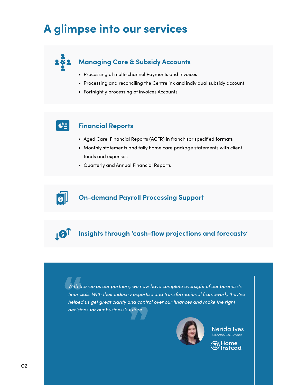## **A glimpse into our services**

#### $2#2$ **Managing Core & Subsidy Accounts**

- Processing of multi-channel Payments and Invoices
- Processing and reconciling the Centrelink and individual subsidy account
- Fortnightly processing of invoices Accounts

### $\mathbf{C}_{\Xi}$

**IST** 

#### **Financial Reports**

- Aged Care Financial Reports (ACFR) in franchisor specified formats
- Monthly statements and tally home care package statements with client funds and expenses
- Quarterly and Annual Financial Reports



**Insights through 'cash-flow projections and forecasts'** 

With B<br>**financ**<br>helped *With BeFree as our partners, we now have complete oversight of our business's financials. With their industry expertise and transformational framework, they've helped us get great clarity and control over our finances and make the right definancials. With their industry expertinely expertinely dus get great clarity and contral decisions for our business's future.* 



Nerida Ives Director/Co-Owne

) Home<br><sup>)</sup> Instead